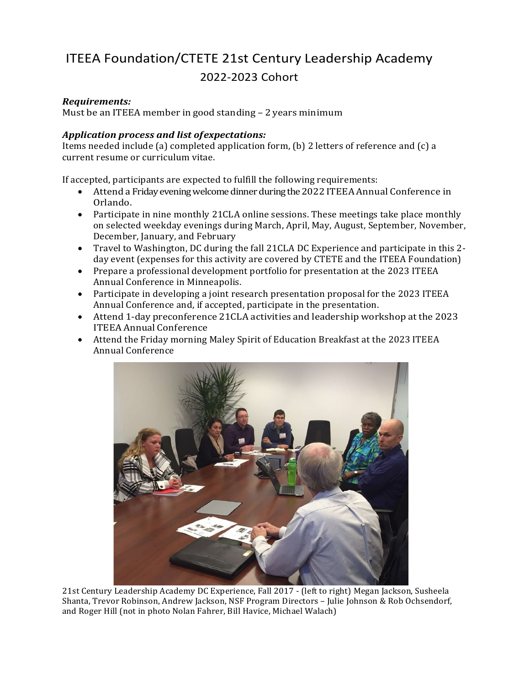## ITEEA Foundation/CTETE 21st Century Leadership Academy 2022-2023 Cohort

## *Requirements:*

Must be an ITEEA member in good standing – 2 years minimum

## *Application process and list ofexpectations:*

Items needed include (a) completed application form, (b) 2 letters of reference and (c) a current resume or curriculum vitae.

If accepted, participants are expected to fulfill the following requirements:

- Attend a Friday evening welcome dinnerduring the 2022 ITEEA Annual Conference in Orlando.
- Participate in nine monthly 21CLA online sessions. These meetings take place monthly on selected weekday evenings during March, April, May, August, September, November, December, January, and February
- Travel to Washington, DC during the fall 21CLA DC Experience and participate in this 2 day event (expenses for this activity are covered by CTETE and the ITEEA Foundation)
- Prepare a professional development portfolio for presentation at the 2023 ITEEA Annual Conference in Minneapolis.
- Participate in developing a joint research presentation proposal for the 2023 ITEEA Annual Conference and, if accepted, participate in the presentation.
- Attend 1-day preconference 21CLA activities and leadership workshop at the 2023 ITEEA Annual Conference
- Attend the Friday morning Maley Spirit of Education Breakfast at the 2023 ITEEA Annual Conference



21st Century Leadership Academy DC Experience, Fall 2017 - (left to right) Megan Jackson, Susheela Shanta, Trevor Robinson, Andrew Jackson, NSF Program Directors – Julie Johnson & Rob Ochsendorf, and Roger Hill (not in photo Nolan Fahrer, Bill Havice, Michael Walach)